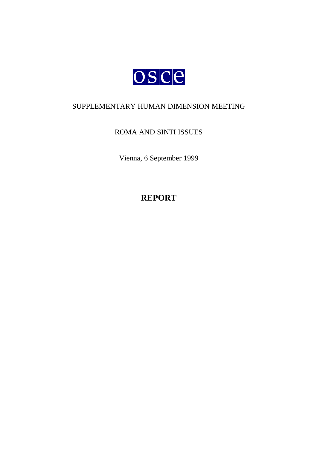

## SUPPLEMENTARY HUMAN DIMENSION MEETING

# ROMA AND SINTI ISSUES

Vienna, 6 September 1999

**REPORT**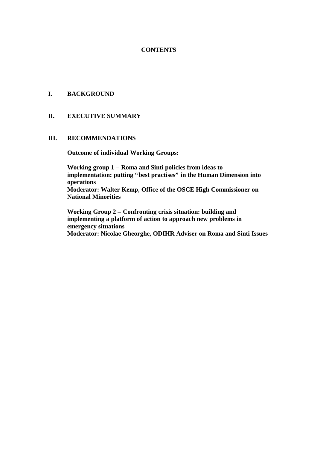## **CONTENTS**

#### **I. BACKGROUND**

#### **II. EXECUTIVE SUMMARY**

#### **III. RECOMMENDATIONS**

**Outcome of individual Working Groups:**

**Working group 1 – Roma and Sinti policies from ideas to implementation: putting "best practises" in the Human Dimension into operations Moderator: Walter Kemp, Office of the OSCE High Commissioner on National Minorities**

**Working Group 2 – Confronting crisis situation: building and implementing a platform of action to approach new problems in emergency situations Moderator: Nicolae Gheorghe, ODIHR Adviser on Roma and Sinti Issues**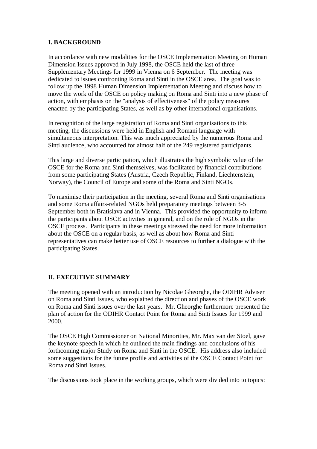## **I. BACKGROUND**

In accordance with new modalities for the OSCE Implementation Meeting on Human Dimension Issues approved in July 1998, the OSCE held the last of three Supplementary Meetings for 1999 in Vienna on 6 September. The meeting was dedicated to issues confronting Roma and Sinti in the OSCE area. The goal was to follow up the 1998 Human Dimension Implementation Meeting and discuss how to move the work of the OSCE on policy making on Roma and Sinti into a new phase of action, with emphasis on the "analysis of effectiveness" of the policy measures enacted by the participating States, as well as by other international organisations.

In recognition of the large registration of Roma and Sinti organisations to this meeting, the discussions were held in English and Romani language with simultaneous interpretation. This was much appreciated by the numerous Roma and Sinti audience, who accounted for almost half of the 249 registered participants.

This large and diverse participation, which illustrates the high symbolic value of the OSCE for the Roma and Sinti themselves, was facilitated by financial contributions from some participating States (Austria, Czech Republic, Finland, Liechtenstein, Norway), the Council of Europe and some of the Roma and Sinti NGOs.

To maximise their participation in the meeting, several Roma and Sinti organisations and some Roma affairs-related NGOs held preparatory meetings between 3-5 September both in Bratislava and in Vienna. This provided the opportunity to inform the participants about OSCE activities in general, and on the role of NGOs in the OSCE process. Participants in these meetings stressed the need for more information about the OSCE on a regular basis, as well as about how Roma and Sinti representatives can make better use of OSCE resources to further a dialogue with the participating States.

## **II. EXECUTIVE SUMMARY**

The meeting opened with an introduction by Nicolae Gheorghe, the ODIHR Adviser on Roma and Sinti Issues, who explained the direction and phases of the OSCE work on Roma and Sinti issues over the last years. Mr. Gheorghe furthermore presented the plan of action for the ODIHR Contact Point for Roma and Sinti Issues for 1999 and 2000.

The OSCE High Commissioner on National Minorities, Mr. Max van der Stoel, gave the keynote speech in which he outlined the main findings and conclusions of his forthcoming major Study on Roma and Sinti in the OSCE. His address also included some suggestions for the future profile and activities of the OSCE Contact Point for Roma and Sinti Issues.

The discussions took place in the working groups, which were divided into to topics: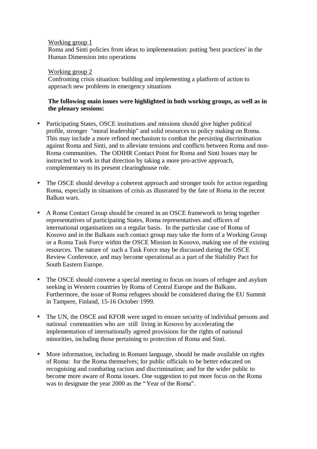#### Working group 1

Roma and Sinti policies from ideas to implementation: putting 'best practices' in the Human Dimension into operations

#### Working group 2

Confronting crisis situation: building and implementing a platform of action to approach new problems in emergency situations

## **The following main issues were highlighted in both working groups, as well as in the plenary sessions:**

- Participating States, OSCE institutions and missions should give higher political profile, stronger "moral leadership" and solid resources to policy making on Roma. This may include a more refined mechanism to combat the persisting discrimination against Roma and Sinti, and to alleviate tensions and conflicts between Roma and non-Roma communities. The ODIHR Contact Point for Roma and Sinti Issues may be instructed to work in that direction by taking a more pro-active approach, complementary to its present clearinghouse role.
- The OSCE should develop a coherent approach and stronger tools for action regarding Roma, especially in situations of crisis as illustrated by the fate of Roma in the recent Balkan wars.
- A Roma Contact Group should be created in an OSCE framework to bring together representatives of participating States, Roma representatives and officers of international organisations on a regular basis. In the particular case of Roma of Kosovo and in the Balkans such contact group may take the form of a Working Group or a Roma Task Force within the OSCE Mission in Kosovo, making use of the existing resources. The nature of such a Task Force may be discussed during the OSCE Review Conference, and may become operational as a part of the Stability Pact for South Eastern Europe.
- The OSCE should convene a special meeting to focus on issues of refugee and asylum seeking in Western countries by Roma of Central Europe and the Balkans. Furthermore, the issue of Roma refugees should be considered during the EU Summit in Tampere, Finland, 15-16 October 1999.
- The UN, the OSCE and KFOR were urged to ensure security of individual persons and national communities who are still living in Kosovo by accelerating the implementation of internationally agreed provisions for the rights of national minorities, including those pertaining to protection of Roma and Sinti.
- More information, including in Romani language, should be made available on rights of Roma: for the Roma themselves; for public officials to be better educated on recognising and combating racism and discrimination; and for the wider public to become more aware of Roma issues. One suggestion to put more focus on the Roma was to designate the year 2000 as the "Year of the Roma".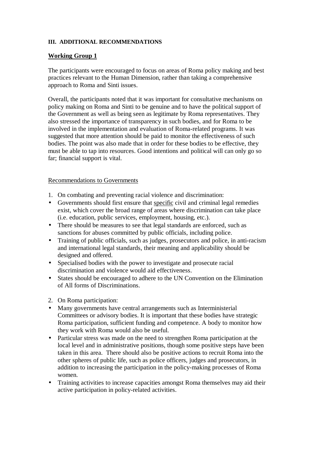## **III. ADDITIONAL RECOMMENDATIONS**

#### **Working Group 1**

The participants were encouraged to focus on areas of Roma policy making and best practices relevant to the Human Dimension, rather than taking a comprehensive approach to Roma and Sinti issues.

Overall, the participants noted that it was important for consultative mechanisms on policy making on Roma and Sinti to be genuine and to have the political support of the Government as well as being seen as legitimate by Roma representatives. They also stressed the importance of transparency in such bodies, and for Roma to be involved in the implementation and evaluation of Roma-related programs. It was suggested that more attention should be paid to monitor the effectiveness of such bodies. The point was also made that in order for these bodies to be effective, they must be able to tap into resources. Good intentions and political will can only go so far; financial support is vital.

#### Recommendations to Governments

- 1. On combating and preventing racial violence and discrimination:
- Governments should first ensure that specific civil and criminal legal remedies exist, which cover the broad range of areas where discrimination can take place (i.e. education, public services, employment, housing, etc.).
- There should be measures to see that legal standards are enforced, such as sanctions for abuses committed by public officials, including police.
- Training of public officials, such as judges, prosecutors and police, in anti-racism and international legal standards, their meaning and applicability should be designed and offered.
- Specialised bodies with the power to investigate and prosecute racial discrimination and violence would aid effectiveness.
- States should be encouraged to adhere to the UN Convention on the Elimination of All forms of Discriminations.
- 2. On Roma participation:
- Many governments have central arrangements such as Interministerial Committees or advisory bodies. It is important that these bodies have strategic Roma participation, sufficient funding and competence. A body to monitor how they work with Roma would also be useful.
- Particular stress was made on the need to strengthen Roma participation at the local level and in administrative positions, though some positive steps have been taken in this area. There should also be positive actions to recruit Roma into the other spheres of public life, such as police officers, judges and prosecutors, in addition to increasing the participation in the policy-making processes of Roma women.
- Training activities to increase capacities amongst Roma themselves may aid their active participation in policy-related activities.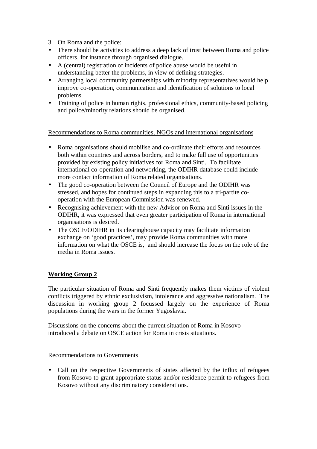3. On Roma and the police:

- There should be activities to address a deep lack of trust between Roma and police officers, for instance through organised dialogue.
- A (central) registration of incidents of police abuse would be useful in understanding better the problems, in view of defining strategies.
- Arranging local community partnerships with minority representatives would help improve co-operation, communication and identification of solutions to local problems.
- Training of police in human rights, professional ethics, community-based policing and police/minority relations should be organised.

Recommendations to Roma communities, NGOs and international organisations

- Roma organisations should mobilise and co-ordinate their efforts and resources both within countries and across borders, and to make full use of opportunities provided by existing policy initiatives for Roma and Sinti. To facilitate international co-operation and networking, the ODIHR database could include more contact information of Roma related organisations.
- The good co-operation between the Council of Europe and the ODIHR was stressed, and hopes for continued steps in expanding this to a tri-partite cooperation with the European Commission was renewed.
- Recognising achievement with the new Advisor on Roma and Sinti issues in the ODIHR, it was expressed that even greater participation of Roma in international organisations is desired.
- The OSCE/ODIHR in its clearinghouse capacity may facilitate information exchange on 'good practices', may provide Roma communities with more information on what the OSCE is, and should increase the focus on the role of the media in Roma issues.

## **Working Group 2**

The particular situation of Roma and Sinti frequently makes them victims of violent conflicts triggered by ethnic exclusivism, intolerance and aggressive nationalism. The discussion in working group 2 focussed largely on the experience of Roma populations during the wars in the former Yugoslavia.

Discussions on the concerns about the current situation of Roma in Kosovo introduced a debate on OSCE action for Roma in crisis situations.

## Recommendations to Governments

• Call on the respective Governments of states affected by the influx of refugees from Kosovo to grant appropriate status and/or residence permit to refugees from Kosovo without any discriminatory considerations.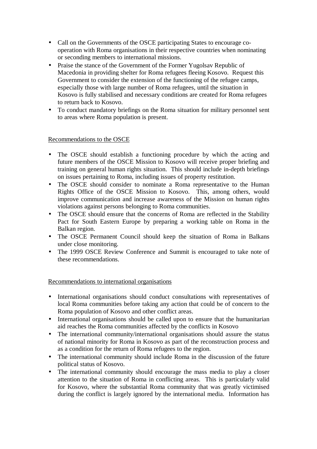- Call on the Governments of the OSCE participating States to encourage cooperation with Roma organisations in their respective countries when nominating or seconding members to international missions.
- Praise the stance of the Government of the Former Yugolsav Republic of Macedonia in providing shelter for Roma refugees fleeing Kosovo. Request this Government to consider the extension of the functioning of the refugee camps, especially those with large number of Roma refugees, until the situation in Kosovo is fully stabilised and necessary conditions are created for Roma refugees to return back to Kosovo.
- To conduct mandatory briefings on the Roma situation for military personnel sent to areas where Roma population is present.

## Recommendations to the OSCE

- The OSCE should establish a functioning procedure by which the acting and future members of the OSCE Mission to Kosovo will receive proper briefing and training on general human rights situation. This should include in-depth briefings on issues pertaining to Roma, including issues of property restitution.
- The OSCE should consider to nominate a Roma representative to the Human Rights Office of the OSCE Mission to Kosovo. This, among others, would improve communication and increase awareness of the Mission on human rights violations against persons belonging to Roma communities.
- The OSCE should ensure that the concerns of Roma are reflected in the Stability Pact for South Eastern Europe by preparing a working table on Roma in the Balkan region.
- The OSCE Permanent Council should keep the situation of Roma in Balkans under close monitoring.
- The 1999 OSCE Review Conference and Summit is encouraged to take note of these recommendations.

## Recommendations to international organisations

- International organisations should conduct consultations with representatives of local Roma communities before taking any action that could be of concern to the Roma population of Kosovo and other conflict areas.
- International organisations should be called upon to ensure that the humanitarian aid reaches the Roma communities affected by the conflicts in Kosovo
- The international community/international organisations should assure the status of national minority for Roma in Kosovo as part of the reconstruction process and as a condition for the return of Roma refugees to the region.
- The international community should include Roma in the discussion of the future political status of Kosovo.
- The international community should encourage the mass media to play a closer attention to the situation of Roma in conflicting areas. This is particularly valid for Kosovo, where the substantial Roma community that was greatly victimised during the conflict is largely ignored by the international media. Information has